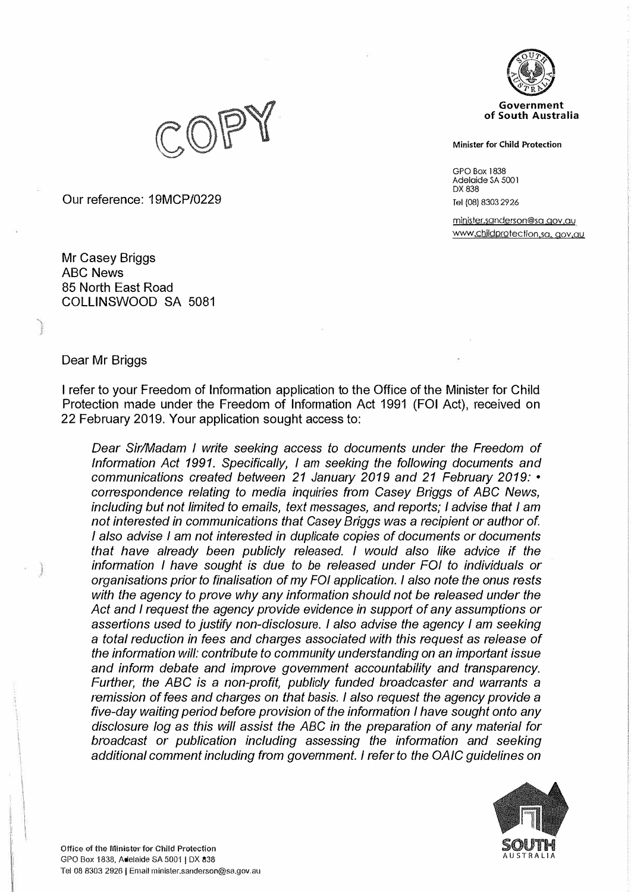

**Minister for Child Protection** 

GPO Box 1838 Adelaide SA 500 I DX 838 Tel (08) 8303 2926

minister.sanderson@sa gov ,au www.childprotection.sa, gov.au



Our reference: 19MCP/0229

Mr Casey Briggs ABC News 85 North East Road COLLINSWOOD SA 5081

## Dear Mr Briggs

I refer to your Freedom of Information application to the Office of the Minister for Child Protection made under the Freedom of Information Act 1991 (FOi Act), received on 22 February 2019. Your application sought access to:

*Dear Sir/Madam I write seeking access to documents under the Freedom of Information Act 1991. Specifically, I am seeking the following documents and communications created between 21 January 2019 and 21 February 2019:* • *correspondence relating to media inquiries from Casey Briggs of ABC News, including but not limited to emails, text messages, and reports; I advise that I am not interested in communications that Casey Briggs was a recipient or author of. I also advise I am not interested in duplicate copies of documents or documents that have already been publicly released. I would also like advice if the information I have sought is due to be released under FOi to individuals or organisations prior to finalisation of my FOi application. I also note the onus rests with the agency to prove why any information should not be released under the Act and I request the agency provide evidence in support of any assumptions or assertions used to justify non-disclosure. I also advise the agency I am seeking a total reduction in fees and charges associated with this request as release of the information will: contribute to community understanding on an important issue and inform debate and improve government accountability and transparency. Further, the ABC is* a *non-profit, publicly funded broadcaster and warrants a remission of fees and charges on that basis. I also request the agency provide a five-day waiting period before provision of the information I have sought onto any disclosure Jog as this will assist the ABC in the preparation of any material for broadcast* or *publication including assessing the information and seeking additional comment including from government. I refer to the OAJC guidelines on* 

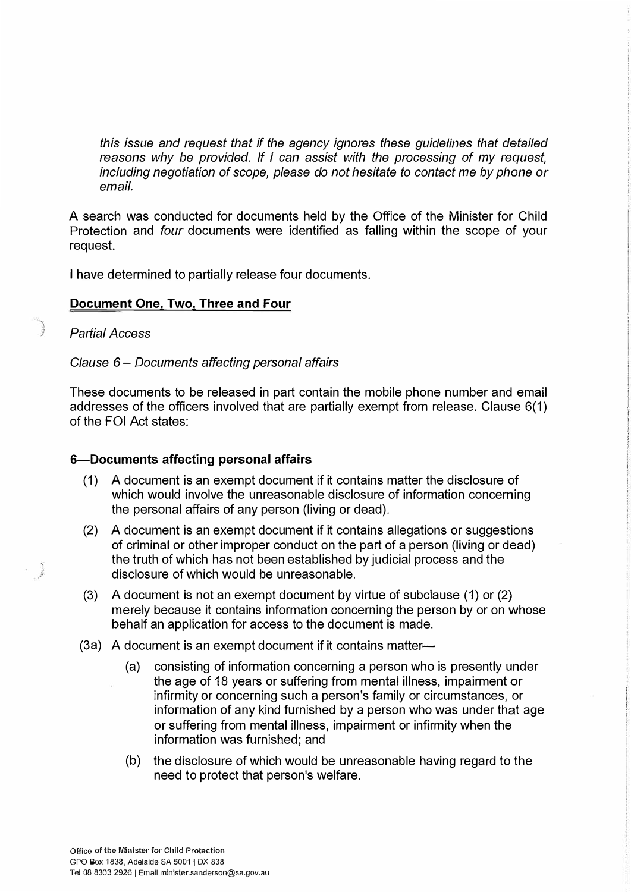*this issue and request that if the agency ignores these guidelines that detailed reasons why be provided. If I can assist with the processing of my request, including negotiation of scope, please do not hesitate to contact me by phone or email.* 

A search was conducted for documents held by the Office of the Minister for Child Protection and *four* documents were identified as falling within the scope of your request.

I have determined to partially release four documents.

## **Document One, Two, Three and Four**

*Partial Access* 

*Clause 6* - *Documents affecting personal affairs*

These documents to be released in part contain the mobile phone number and email addresses of the officers involved that are partially exempt from release. Clause 6(1) of the FOi Act states:

## **6-Documents affecting personal affairs**

- (1) A document is an exempt document if it contains matter the disclosure of which would involve the unreasonable disclosure of information concerning the personal affairs of any person (living or dead).
- (2) A document is an exempt document if it contains allegations or suggestions of criminal or other improper conduct on the part of a person (living or dead) the truth of which has not been established by judicial process and the disclosure of which would be unreasonable.
- (3) A document is not an exempt document by virtue of subclause (1) or (2) merely because it contains information concerning the person by or on whose behalf an application for access to the document is made.
- (3a) A document is an exempt document if it contains matter-
	- (a) consisting of information concerning a person who is presently under the age of 18 years or suffering from mental illness, impairment or infirmity or concerning such a person's family or circumstances, or information of any kind furnished by a person who was under that age or suffering from mental illness, impairment or infirmity when the information was furnished; and
	- (b) the disclosure of which would be unreasonable having regard to the need to protect that person's welfare.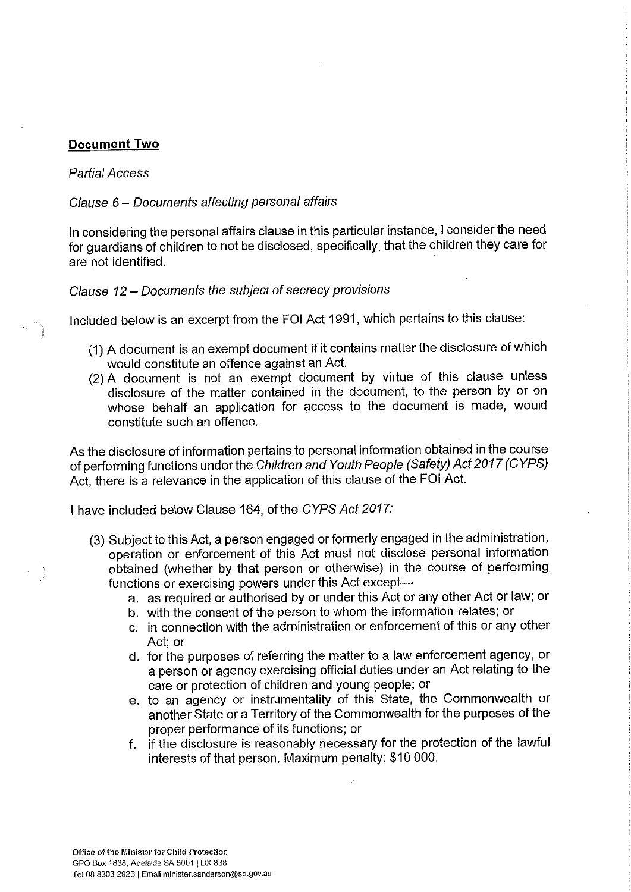## **Document Two**

## **Partial Access**

## Clause 6 – Documents affecting personal affairs

In considering the personal affairs clause in this particular instance, I consider the need for quardians of children to not be disclosed, specifically, that the children they care for are not identified.

## Clause 12 – Documents the subject of secrecy provisions

Included below is an excerpt from the FOI Act 1991, which pertains to this clause:

- (1) A document is an exempt document if it contains matter the disclosure of which would constitute an offence against an Act.
- (2) A document is not an exempt document by virtue of this clause unless disclosure of the matter contained in the document, to the person by or on whose behalf an application for access to the document is made, would constitute such an offence.

As the disclosure of information pertains to personal information obtained in the course of performing functions under the Children and Youth People (Safety) Act 2017 (CYPS) Act, there is a relevance in the application of this clause of the FOI Act.

I have included below Clause 164, of the CYPS Act 2017:

- (3) Subject to this Act, a person engaged or formerly engaged in the administration, operation or enforcement of this Act must not disclose personal information obtained (whether by that person or otherwise) in the course of performing functions or exercising powers under this Act except
	- a. as required or authorised by or under this Act or any other Act or law; or
	- b. with the consent of the person to whom the information relates; or
	- c. in connection with the administration or enforcement of this or any other Act; or
	- d. for the purposes of referring the matter to a law enforcement agency, or a person or agency exercising official duties under an Act relating to the care or protection of children and young people; or
	- e. to an agency or instrumentality of this State, the Commonwealth or another State or a Territory of the Commonwealth for the purposes of the proper performance of its functions; or
	- f. if the disclosure is reasonably necessary for the protection of the lawful interests of that person. Maximum penalty: \$10 000.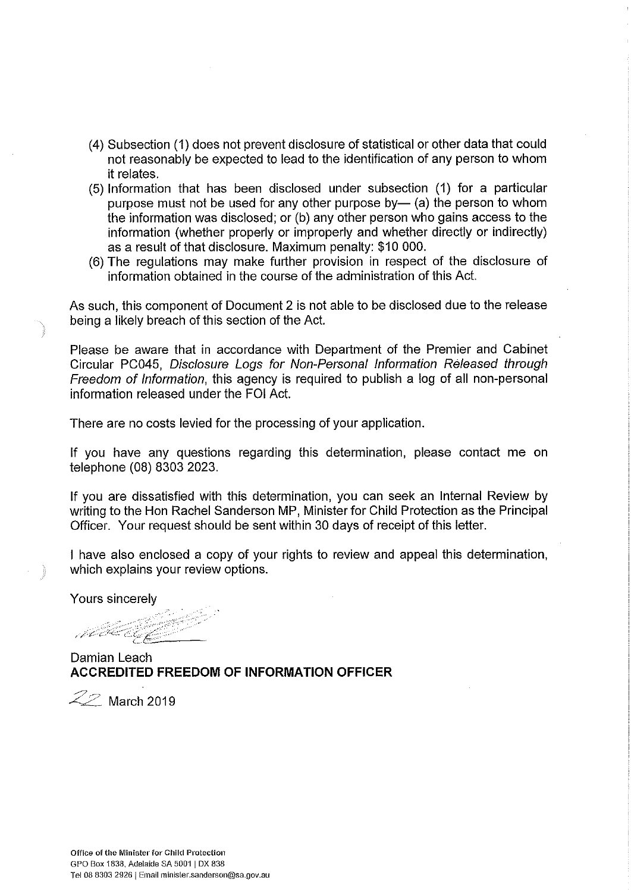- (4) Subsection (1) does not prevent disclosure of statistical or other data that could not reasonably be expected to lead to the identification of any person to whom it relates.
- (5) Information that has been disclosed under subsection (1) for a particular purpose must not be used for any other purpose by- (a) the person to whom the information was disclosed; or (b) any other person who gains access to the information (whether properly or improperly and whether directly or indirectly) as a result of that disclosure. Maximum penalty: \$10 000.
- (6) The regulations may make further provision in respect of the disclosure of information obtained in the course of the administration of this Act.

As such, this component of Document 2 is not able to be disclosed due to the release being a likely breach of this section of the Act.

Please be aware that in accordance with Department of the Premier and Cabinet Circular PC045, Disclosure Logs for Non-Personal Information Released through Freedom of Information, this agency is required to publish a log of all non-personal information released under the FOI Act.

There are no costs levied for the processing of your application.

If you have any questions regarding this determination, please contact me on telephone (08) 8303 2023.

If you are dissatisfied with this determination, you can seek an Internal Review by writing to the Hon Rachel Sanderson MP, Minister for Child Protection as the Principal Officer. Your request should be sent within 30 days of receipt of this letter.

I have also enclosed a copy of your rights to review and appeal this determination, which explains your review options.

Yours sincerely

ABE EGY

Damian Leach **ACCREDITED FREEDOM OF INFORMATION OFFICER** 

 $\mathcal{Z}\!\mathcal{Z}$  March 2019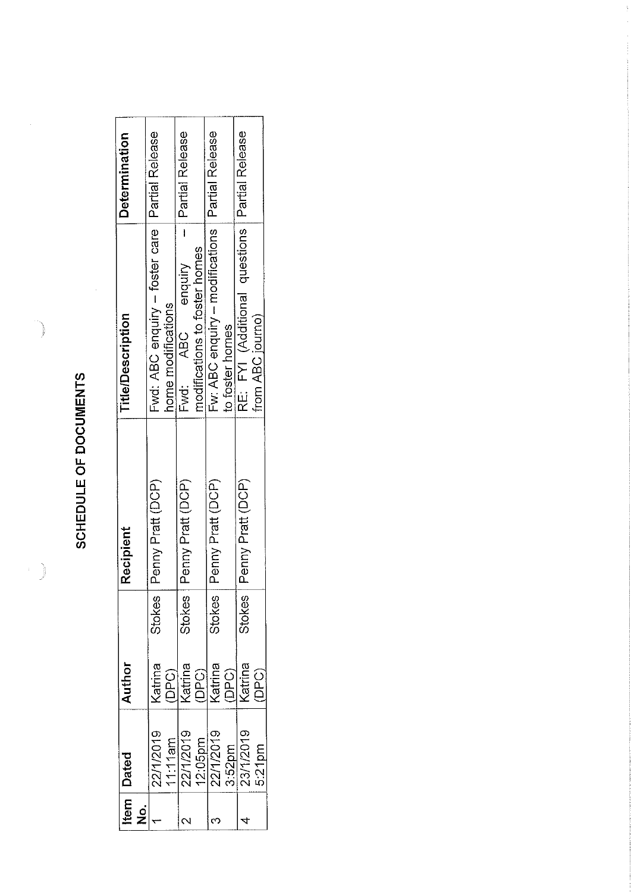SCHEDULE OF DOCUMENTS

 $\frac{1}{2}$ 

| $\frac{1}{2}$ | <b>Item   Dated</b>                           | Author                                    | Recipient         | <b>Title/Description</b>                                               | Determination   |
|---------------|-----------------------------------------------|-------------------------------------------|-------------------|------------------------------------------------------------------------|-----------------|
|               | 22/1/2019                                     | Stokes<br><b>Katrina</b>                  | Penny Pratt (DCP) | Fwd: ABC enquiry - foster care   Partial Release<br>nome modifications |                 |
|               | $\frac{11111$ am<br>22/1/2019                 | <b>Stokes</b><br>(DPC)<br>Katrina         | Penny Pratt (DCP) | modifications to foster homes<br>Fwd: ABC enquiry                      | Partial Release |
|               | $\frac{12:05 \text{pm}}{22/1/2019}$<br>3.52pm | <b>Stokes</b><br>(DPC)<br>Katrina<br>DPC) | Penny Pratt (DCP) | Fw: ABC enquiry - modifications   Partial Release<br>to foster homes   |                 |
|               | 23/1/2019<br>$5.21$ pm                        | <b>Stokes</b><br>Katrina<br>DPC)          | Penny Pratt (DCP) | RE: FYI (Additional questions Partial Release<br>from ABC journo)      |                 |

 $\frac{1}{2}$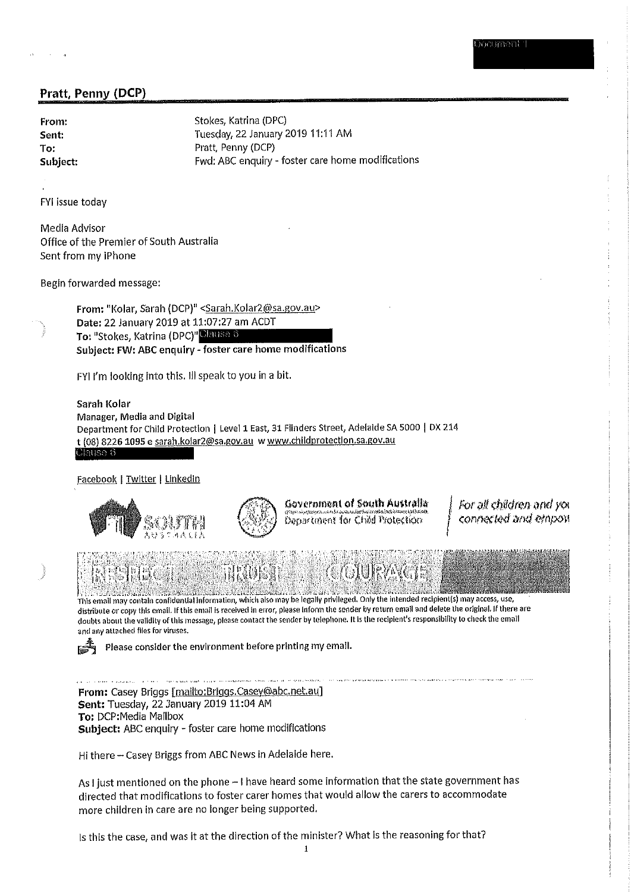| From:    |  |
|----------|--|
| Sent:    |  |
| To:      |  |
| Subject: |  |

Stokes, Katrina (DPC) Tuesday, 22 January 2019 11:11 AM Pratt, Penny (DCP) Fwd: ABC enquiry - foster care home modifications

FYI issue today

Media Advisor Office of the Premier of South Australia Sent from my iPhone

Begin forwarded message:

From: "Kolar, Sarah (DCP)" <Sarah.Kolar2@sa.gov.au> Date: 22 January 2019 at 11:07:27 am ACDT To: "Stokes, Katrina (DPC)" Clause 6 Subject: FW: ABC enquiry - foster care home modifications

FYI I'm looking into this. Ill speak to you in a bit.

Sarah Kolar Manager, Media and Digital Department for Child Protection | Level 1 East, 31 Flinders Street, Adelaide SA 5000 | DX 214 t (08) 8226 1095 e sarah.kolar2@sa.gov.au w www.childprotection.sa.gov.au <u> Clause 6 </u>

Facebook | Twitter | Linkedin



Government of South Australia Department for Child Protection.

For all children and you connected and emport

This email may contain confidential information, which also may be legally privileged. Only the intended recipient(s) may access, use, distribute or copy this email. If this email is received in error, please inform the sender by return email and delete the original. If there are doubts about the validity of this message, please contact the sender by telephone. It is the recipient's responsibility to check the email and any attached files for viruses.

Please consider the environment before printing my email.

From: Casey Briggs [mailto:Briggs.Casey@abc.net.au] Sent: Tuesday, 22 January 2019 11:04 AM To: DCP:Media Mailbox Subject: ABC enquiry - foster care home modifications

Hi there - Casey Briggs from ABC News in Adelaide here.

As I just mentioned on the phone - I have heard some Information that the state government has directed that modifications to foster carer homes that would allow the carers to accommodate more children in care are no longer being supported.

Is this the case, and was it at the direction of the minister? What is the reasoning for that?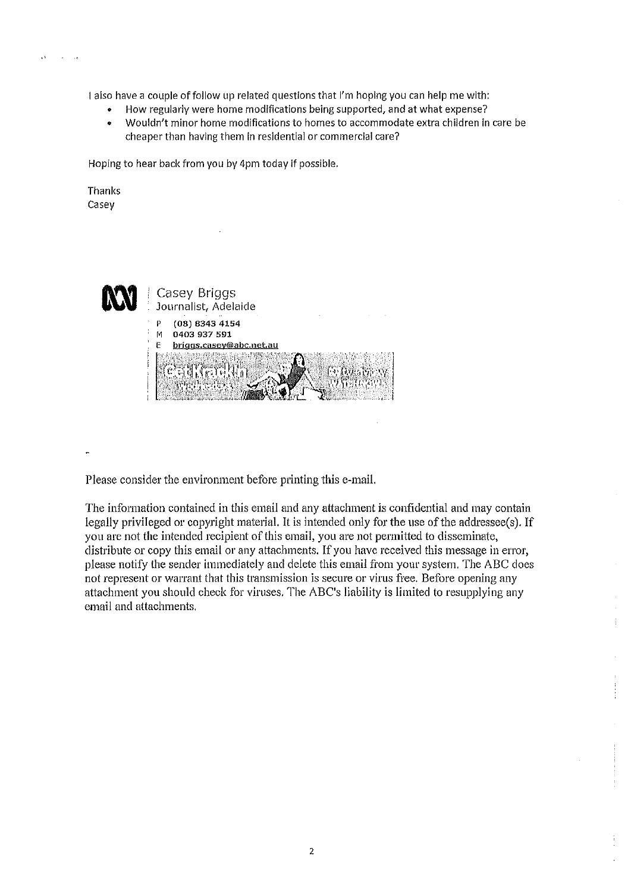

I also have a couple of follow up related questions that I'm hoping you can help me with:

- How regularly were home modifications being supported, and at what expense?
- Wouldn't minor home modifications to homes to accommodate extra children in care be  $\bullet$ cheaper than having them in residential or commercial care?

Hoping to hear back from you by 4pm today if possible.

Thanks Casey



Please consider the environment before printing this e-mail.

The information contained in this email and any attachment is confidential and may contain legally privileged or copyright material. It is intended only for the use of the addressee(s). If you are not the intended recipient of this email, you are not permitted to disseminate, distribute or copy this email or any attachments. If you have received this message in error, please notify the sender immediately and delete this email from your system. The ABC does not represent or warrant that this transmission is secure or virus free. Before opening any attachment you should check for viruses. The ABC's liability is limited to resupplying any email and attachments.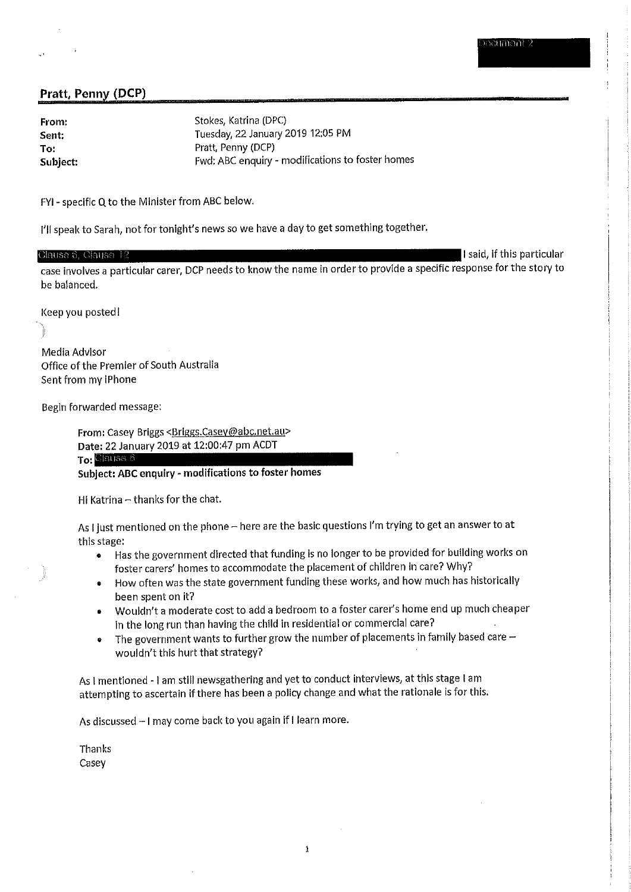From: Sent: To: Subject: Stokes, Katrina (DPC) Tuesday, 22 January 2019 12:05 PM Pratt, Penny (DCP) Fwd: ABC enquiry - modifications to foster homes

FYI - specific Q to the Minister from ABC below.

I'll speak to Sarah, not for tonight's news so we have a day to get something together.

#### I said, if this particular Clause 6, Clause 1 case involves a particular carer, DCP needs to know the name in order to provide a specific response for the story to be balanced.

Keep you posted!

Media Advisor Office of the Premier of South Australia Sent from my iPhone

Begin forwarded message:

From: Casey Briggs <Briggs.Casey@abc.net.au> Date: 22 January 2019 at 12:00:47 pm ACDT To: Clause 6

Subject: ABC enquiry - modifications to foster homes

Hi Katrina - thanks for the chat.

As I just mentioned on the phone - here are the basic questions I'm trying to get an answer to at this stage:

- Has the government directed that funding is no longer to be provided for building works on  $\bullet$ foster carers' homes to accommodate the placement of children in care? Why?
- How often was the state government funding these works, and how much has historically  $\bullet$ been spent on it?
- Wouldn't a moderate cost to add a bedroom to a foster carer's home end up much cheaper  $\bullet$ in the long run than having the child in residential or commercial care?
- The government wants to further grow the number of placements in family based care  $\bullet$ wouldn't this hurt that strategy?

As I mentioned - I am still newsgathering and yet to conduct interviews, at this stage I am attempting to ascertain if there has been a policy change and what the rationale is for this.

As discussed - I may come back to you again if I learn more.

Thanks Casey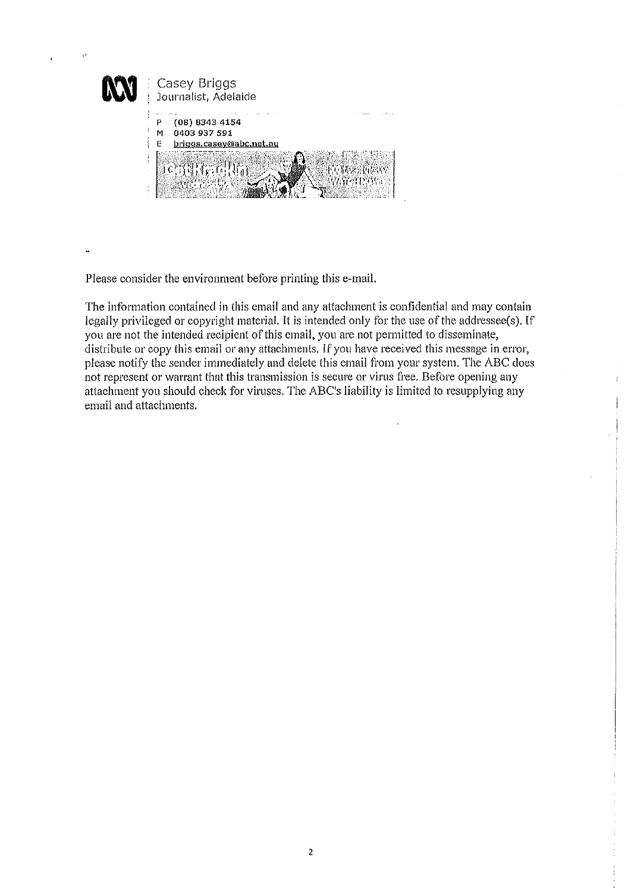

Please consider the environment before printing this e-mail.

The information contained in this email and any attachment is confidential and may contain legally privileged or copyright material. It is intended only for the use of the addressee(s). If you are not the intended recipient of this email, you are not permitted to disseminate, distribute or copy this email or any attachments. If you have received this message in error, please notify the sender immediately and delete this email from your system. The ABC does not represent or warrant that this transmission is secure or virus free. Before opening any attachment you should check for viruses. The ABC's liability is limited to resupplying any email and attachments.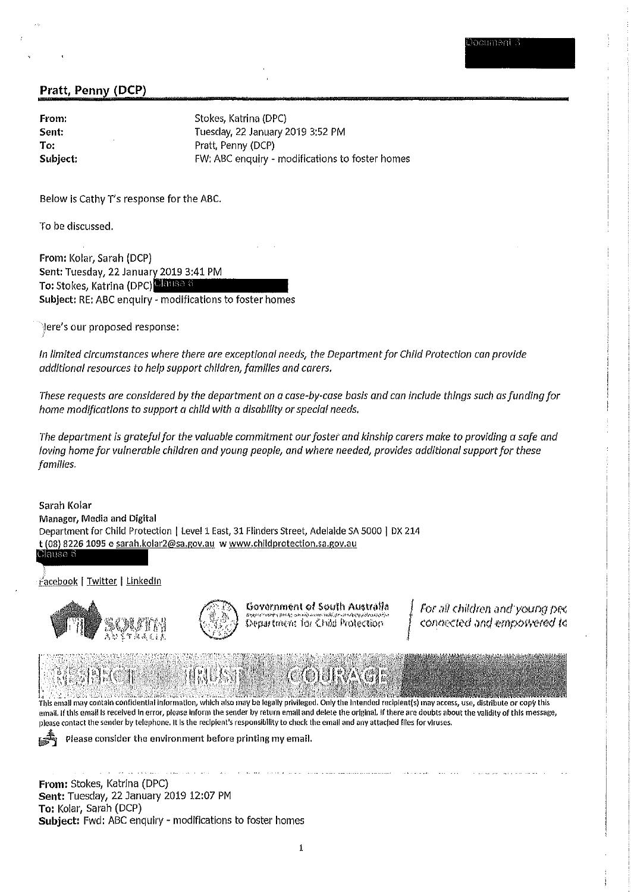From: Sent: To: Subject: Stokes, Katrina (DPC) Tuesday, 22 January 2019 3:52 PM Pratt, Penny (DCP) FW: ABC enquiry - modifications to foster homes

Below is Cathy T's response for the ABC.

To be discussed.

From: Kolar, Sarah (DCP) Sent: Tuesday, 22 January 2019 3:41 PM To: Stokes, Katrina (DPC) Clause 6 Subject: RE: ABC enquiry - modifications to foster homes

Jere's our proposed response:

In limited circumstances where there are exceptional needs, the Department for Child Protection can provide additional resources to help support children, families and carers.

These requests are considered by the department on a case-by-case basis and can include things such as funding for home modifications to support a child with a disability or special needs.

The department is grateful for the valuable commitment our foster and kinship carers make to providing a safe and loving home for vulnerable children and young people, and where needed, provides additional support for these families.

Sarah Kolar Manager, Media and Digital Department for Child Protection | Level 1 East, 31 Flinders Street, Adelaide SA 5000 | DX 214 t (08) 8226 1095 e sarah.kolar2@sa.gov.au w www.childprotection.sa.gov.au Clause 6

Facebook | Twitter | Linkedin





Government of South Australia Department for Child Protection

For all children and young pec connected and empowered to

This email may contain confidential information, which also may be legally privileged. Only the intended recipient(s) may access, use, distribute or copy this email. If this email is received in error, please inform the sender by return email and delete the original. If there are doubts about the validity of this message, please contact the sender by telephone. It is the recipient's responsibility to check the email and any attached files for viruses.

Please consider the environment before printing my email.

From: Stokes, Katrina (DPC) Sent: Tuesday, 22 January 2019 12:07 PM To: Kolar, Sarah (DCP) Subject: Fwd: ABC enquiry - modifications to foster homes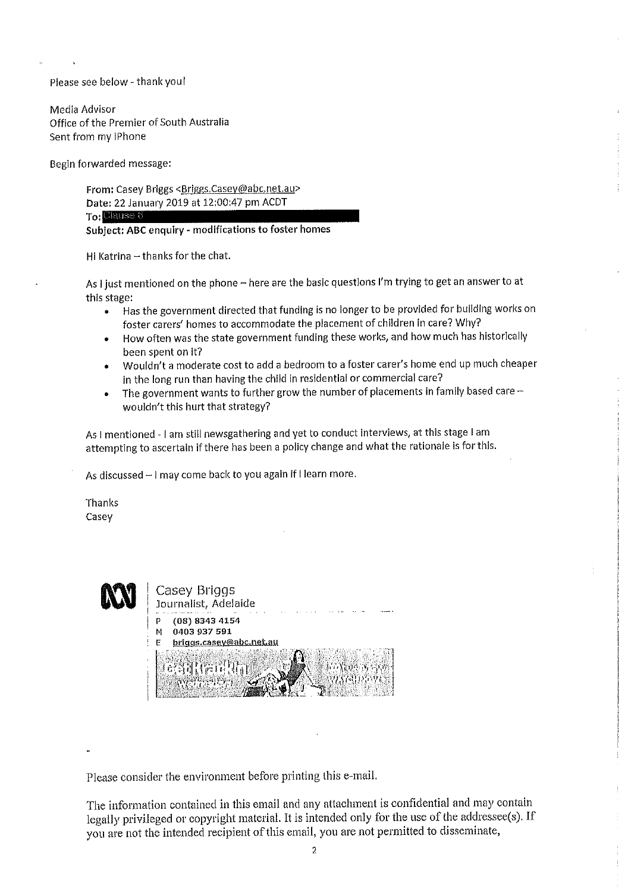Please see below - thank you!

Media Advisor Office of the Premier of South Australia Sent from my iPhone

Begin forwarded message:

From: Casey Briggs <Briggs.Casey@abc.net.au> Date: 22 January 2019 at 12:00:47 pm ACDT To: Clause 6 Subject: ABC enquiry - modifications to foster homes

Hi Katrina - thanks for the chat.

As I just mentioned on the phone - here are the basic questions I'm trying to get an answer to at this stage:

- Has the government directed that funding is no longer to be provided for building works on  $\bullet$ foster carers' homes to accommodate the placement of children in care? Why?
- How often was the state government funding these works, and how much has historically been spent on it?
- Wouldn't a moderate cost to add a bedroom to a foster carer's home end up much cheaper in the long run than having the child in residential or commercial care?
- The government wants to further grow the number of placements in family based care - $\bullet$ wouldn't this hurt that strategy?

As I mentioned - I am still newsgathering and yet to conduct interviews, at this stage I am attempting to ascertain if there has been a policy change and what the rationale is for this.

As discussed - I may come back to you again if I learn more.

Thanks Casey

|   | Casey Briggs<br>Journalist, Adelaide                                |
|---|---------------------------------------------------------------------|
| ٠ | (08) 8343 4154<br>0403 937 591<br>м<br>briggs.casey@abc.net.au<br>F |

Please consider the environment before printing this e-mail.

The information contained in this email and any attachment is confidential and may contain legally privileged or copyright material. It is intended only for the use of the addressee(s). If you are not the intended recipient of this email, you are not permitted to disseminate,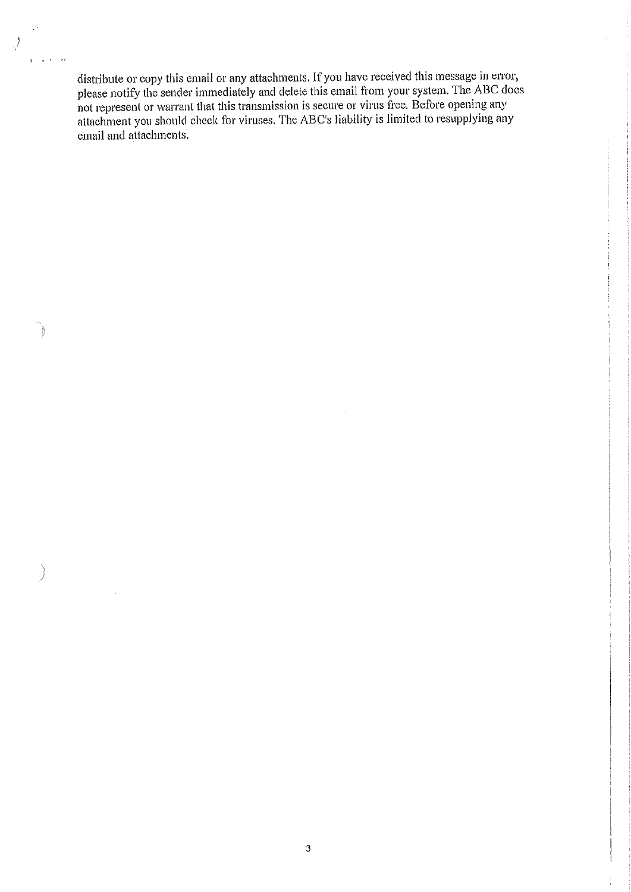distribute or copy this email or any attachments. If you have received this message in error, please notify the sender immediately and delete this email from your system. The ABC does not represent or warrant that this transmission is secure or virus free. Before opening any attachment you should check for viruses. The ABC's liability is limited to resupplying any email and attachments.

 $\hat{\beta}$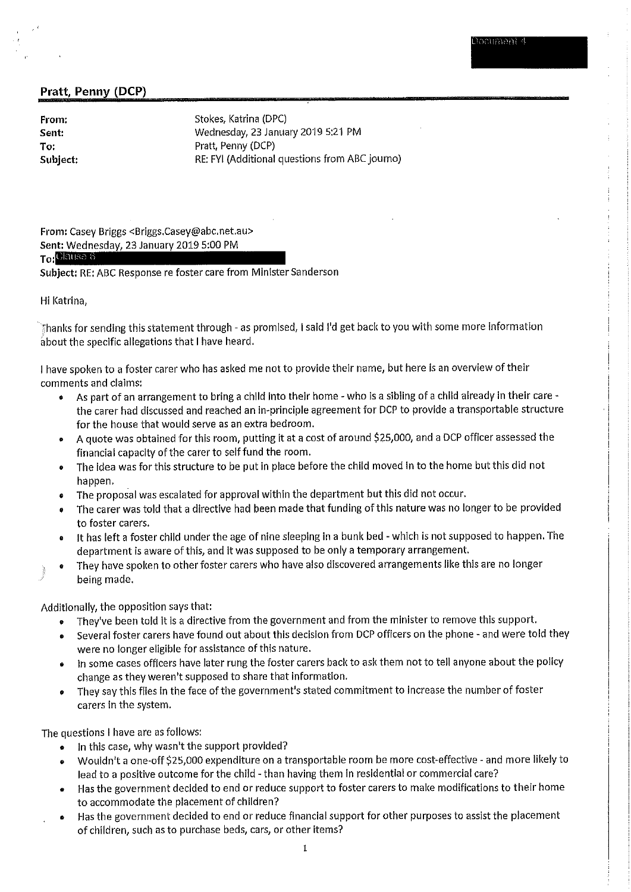From: Sent: To: Subject: Stokes, Katrina (DPC) Wednesday, 23 January 2019 5:21 PM Pratt, Penny (DCP) RE: FYI (Additional questions from ABC journo)

From: Casey Briggs <Briggs.Casey@abc.net.au> Sent: Wednesday, 23 January 2019 5:00 PM

## To: <sup>Clausa 6</sup>

Subject: RE: ABC Response re foster care from Minister Sanderson

Hi Katrina.

Thanks for sending this statement through - as promised, I said I'd get back to you with some more information about the specific allegations that I have heard.

I have spoken to a foster carer who has asked me not to provide their name, but here is an overview of their comments and claims:

- As part of an arrangement to bring a child into their home who is a sibling of a child already in their care the carer had discussed and reached an in-principle agreement for DCP to provide a transportable structure for the house that would serve as an extra bedroom.
- A quote was obtained for this room, putting it at a cost of around \$25,000, and a DCP officer assessed the financial capacity of the carer to self fund the room.
- . The idea was for this structure to be put in place before the child moved in to the home but this did not happen.
- The proposal was escalated for approval within the department but this did not occur.
- The carer was told that a directive had been made that funding of this nature was no longer to be provided to foster carers.
- It has left a foster child under the age of nine sleeping in a bunk bed which is not supposed to happen. The department is aware of this, and it was supposed to be only a temporary arrangement.
- They have spoken to other foster carers who have also discovered arrangements like this are no longer being made.

Additionally, the opposition says that:

- They've been told it is a directive from the government and from the minister to remove this support.  $\bullet$
- Several foster carers have found out about this decision from DCP officers on the phone and were told they were no longer eligible for assistance of this nature.
- . In some cases officers have later rung the foster carers back to ask them not to tell anyone about the policy change as they weren't supposed to share that information.
- They say this flies in the face of the government's stated commitment to increase the number of foster  $\bullet$ carers in the system.

The questions I have are as follows:

- In this case, why wasn't the support provided?
- Wouldn't a one-off \$25,000 expenditure on a transportable room be more cost-effective and more likely to lead to a positive outcome for the child - than having them in residential or commercial care?
- Has the government decided to end or reduce support to foster carers to make modifications to their home to accommodate the placement of children?
- Has the government decided to end or reduce financial support for other purposes to assist the placement of children, such as to purchase beds, cars, or other items?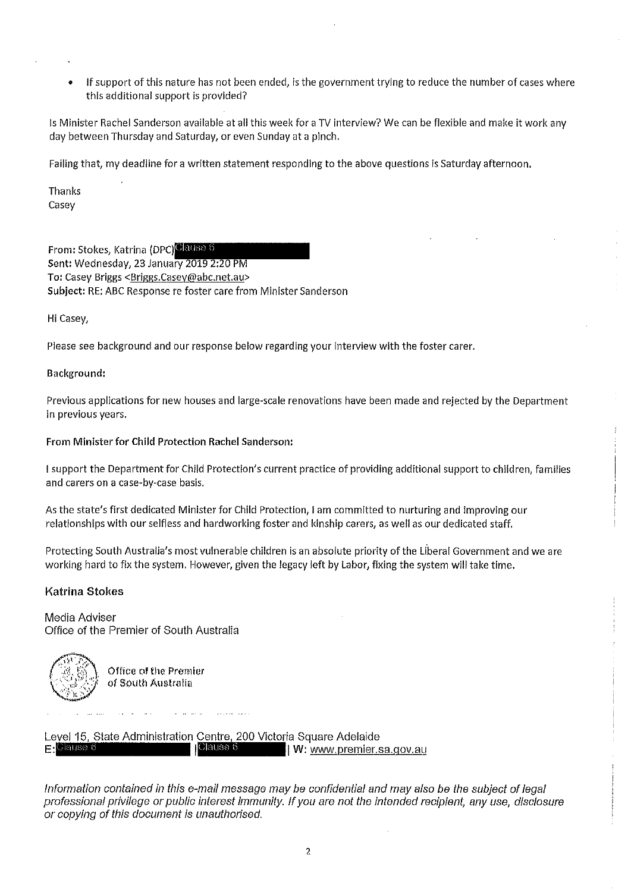If support of this nature has not been ended, is the government trying to reduce the number of cases where this additional support is provided?

Is Minister Rachel Sanderson available at all this week for a TV interview? We can be flexible and make it work any day between Thursday and Saturday, or even Sunday at a pinch.

Failing that, my deadline for a written statement responding to the above questions is Saturday afternoon,

**Thanks** Casey

From: Stokes, Katrina (DPC) Clause 6 Sent: Wednesday, 23 January 2019 2:20 PM To: Casey Briggs <Briggs.Casey@abc.net.au> Subject: RE: ABC Response re foster care from Minister Sanderson

Hi Casey,

Please see background and our response below regarding your interview with the foster carer.

#### Background:

Previous applications for new houses and large-scale renovations have been made and rejected by the Department in previous vears.

#### From Minister for Child Protection Rachel Sanderson:

I support the Department for Child Protection's current practice of providing additional support to children, families and carers on a case-by-case basis.

As the state's first dedicated Minister for Child Protection, I am committed to nurturing and improving our relationships with our selfless and hardworking foster and kinship carers, as well as our dedicated staff.

Protecting South Australia's most vulnerable children is an absolute priority of the Liberal Government and we are working hard to fix the system. However, given the legacy left by Labor, fixing the system will take time,

## Katrina Stokes

Media Adviser Office of the Premier of South Australia



Office of the Premier of South Australia

Level 15, State Administration Centre, 200 Victoria Square Adelaide ¶Clause 6 **E:**Clause W: www.premier.sa.gov.au

Information contained in this e-mail message may be confidential and may also be the subject of legal professional privilege or public interest immunity. If you are not the intended recipient, any use, disclosure or copying of this document is unauthorised.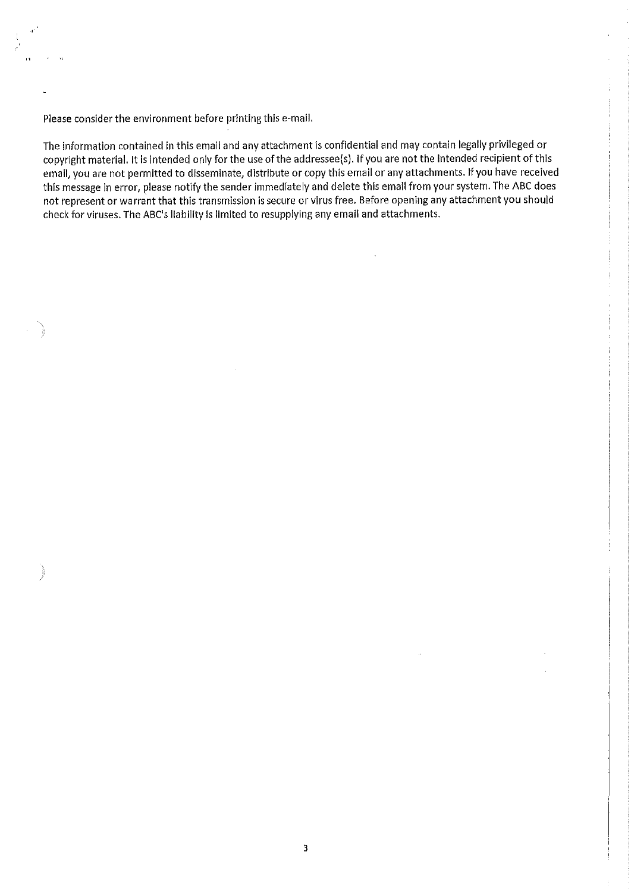Please consider the environment before printing this e-mail.

The information contained in this email and any attachment is confidential and may contain legally privileged or copyright material. It is intended only for the use of the addressee(s). If you are not the intended recipient of this email, you are not permitted to disseminate, distribute or copy this email or any attachments. If you have received this message in error, please notify the sender immediately and delete this email from your system. The ABC does not represent or warrant that this transmission is secure or virus free. Before opening any attachment you should check for viruses. The ABC's liability is limited to resupplying any email and attachments.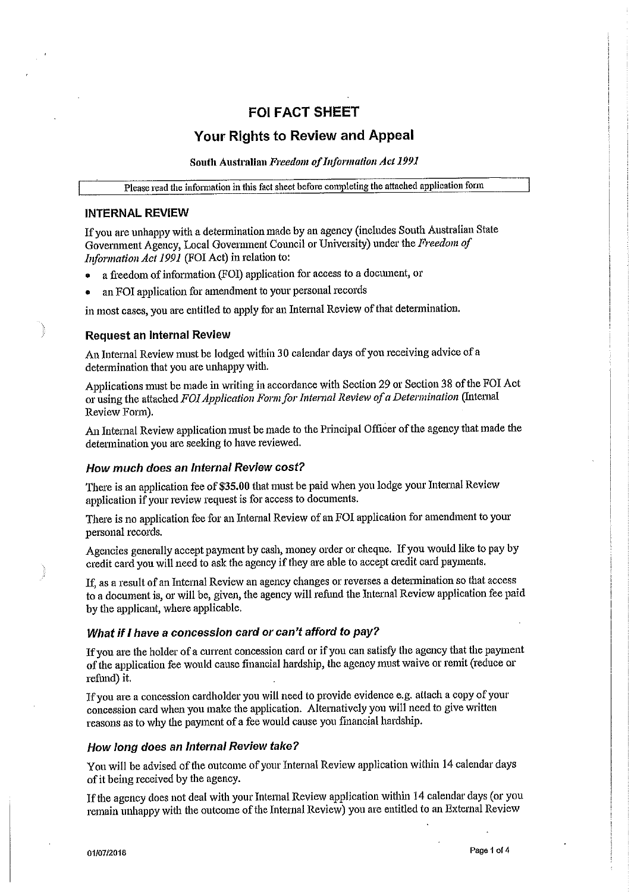## **FOI FACT SHEET**

## Your Rights to Review and Appeal

South Australian Freedom of Information Act 1991

Please read the information in this fact sheet before completing the attached application form

#### **INTERNAL REVIEW**

If you are unhappy with a determination made by an agency (includes South Australian State Government Agency, Local Government Council or University) under the Freedom of *Information Act 1991* (FOI Act) in relation to:

- a freedom of information (FOI) application for access to a document, or
- an FOI application for amendment to your personal records

in most cases, you are entitled to apply for an Internal Review of that determination.

#### **Request an Internal Review**

An Internal Review must be lodged within 30 calendar days of you receiving advice of a determination that you are unhappy with.

Applications must be made in writing in accordance with Section 29 or Section 38 of the FOI Act or using the attached FOI Application Form for Internal Review of a Determination (Internal Review Form).

An Internal Review application must be made to the Principal Officer of the agency that made the determination you are seeking to have reviewed.

#### How much does an Internal Review cost?

There is an application fee of \$35.00 that must be paid when you lodge your Internal Review application if your review request is for access to documents.

There is no application fee for an Internal Review of an FOI application for amendment to your personal records.

Agencies generally accept payment by cash, money order or cheque. If you would like to pay by credit card you will need to ask the agency if they are able to accept credit card payments.

If, as a result of an Internal Review an agency changes or reverses a determination so that access to a document is, or will be, given, the agency will refund the Internal Review application fee paid by the applicant, where applicable.

#### What if I have a concession card or can't afford to pay?

If you are the holder of a current concession card or if you can satisfy the agency that the payment of the application fee would cause financial hardship, the agency must waive or remit (reduce or refund) it.

If you are a concession cardholder you will need to provide evidence e.g. attach a copy of your concession card when you make the application. Alternatively you will need to give written reasons as to why the payment of a fee would cause you financial hardship.

## How long does an Internal Review take?

You will be advised of the outcome of your Internal Review application within 14 calendar days of it being received by the agency.

If the agency does not deal with your Internal Review application within 14 calendar days (or you remain unhappy with the outcome of the Internal Review) you are entitled to an External Review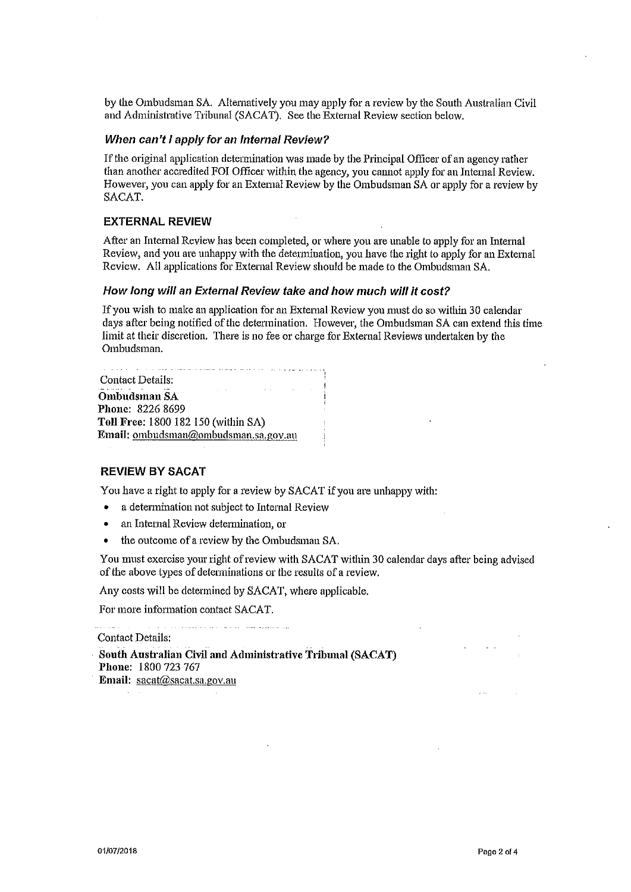by the Ombudsman SA. Alternatively you may apply for a review by the South Australian Civil and Administrative Tribunal (SACAT). See the External Review section below.

#### When can't I apply for an Internal Review?

If the original application determination was made by the Principal Officer of an agency rather than another accredited FOI Officer within the agency, you cannot apply for an Internal Review. However, you can apply for an External Review by the Ombudsman SA or apply for a review by SACAT.

#### **EXTERNAL REVIEW**

After an Internal Review has been completed, or where you are unable to apply for an Internal Review, and you are unhappy with the determination, you have the right to apply for an External Review. All applications for External Review should be made to the Ombudsman SA.

#### How long will an External Review take and how much will it cost?

If you wish to make an application for an External Review you must do so within 30 calendar days after being notified of the determination. However, the Ombudsman SA can extend this time limit at their discretion. There is no fee or charge for External Reviews undertaken by the Ombudsman.

| There is a company of the model of the project that is a control of the project of the<br>Contact Details: |  |
|------------------------------------------------------------------------------------------------------------|--|
| the contract of the contract of the contract of the contract of                                            |  |
| Ombudsman SA                                                                                               |  |
| Phone: 8226 8699                                                                                           |  |
| Toll Free: 1800 182 150 (within SA)                                                                        |  |
| Email: <u>ombudsman@ombudsman.sa.gov.au</u>                                                                |  |
|                                                                                                            |  |

#### **REVIEW BY SACAT**

You have a right to apply for a review by SACAT if you are unhappy with:

- a determination not subject to Internal Review  $\bullet$
- an Internal Review determination, or
- $\bullet$ the outcome of a review by the Ombudsman SA.

You must exercise your right of review with SACAT within 30 calendar days after being advised of the above types of determinations or the results of a review.

Any costs will be determined by SACAT, where applicable.

For more information contact SACAT.

بلارين المتحصص والمستشرب الأقارب متألف والمتحدة والمتحدة والمتحدة والمناورة **Contact Details:** South Australian Civil and Administrative Tribunal (SACAT) Phone: 1800 723 767 Email: sacat@sacat.sa.gov.au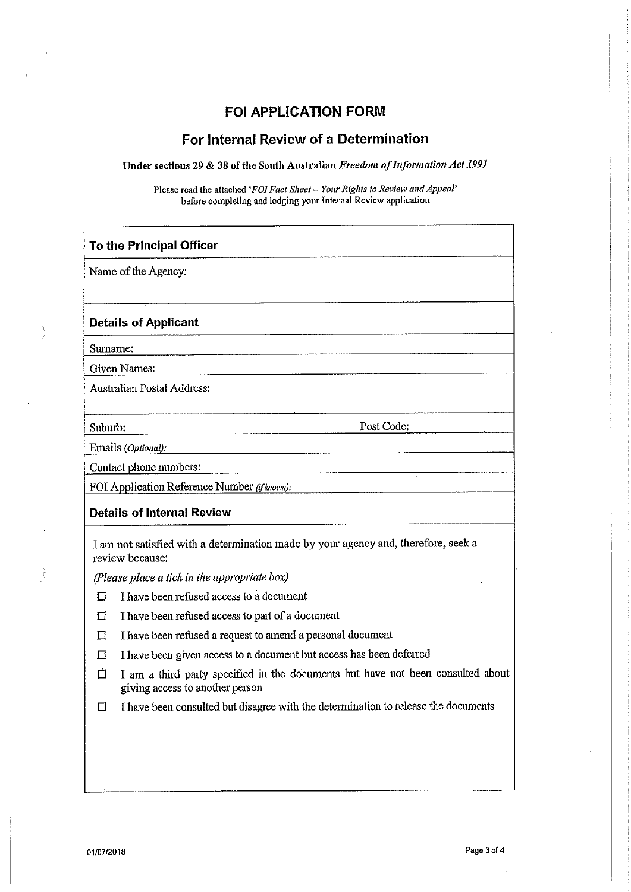# FOI APPLICATION FORM

# For Internal Review of a Determination

Under sections 29 & 38 of the South Australian Freedom of Information Act 1991

Please read the attached 'FOI Fact Sheet -- Your Rights to Review and Appeal' before completing and lodging your Internal Review application

|          | To the Principal Officer                                                                                           |  |  |  |  |
|----------|--------------------------------------------------------------------------------------------------------------------|--|--|--|--|
|          | Name of the Agency:                                                                                                |  |  |  |  |
|          |                                                                                                                    |  |  |  |  |
|          | <b>Details of Applicant</b>                                                                                        |  |  |  |  |
| Surname: |                                                                                                                    |  |  |  |  |
|          | Given Names:                                                                                                       |  |  |  |  |
|          | Australian Postal Address:                                                                                         |  |  |  |  |
| Suburb:  | Post Code:                                                                                                         |  |  |  |  |
|          | Emails (Optional):                                                                                                 |  |  |  |  |
|          | Contact phone numbers:<br><u> 1980 - John Stein, Amerikaansk politiker (</u>                                       |  |  |  |  |
|          | FOI Application Reference Number (if known):                                                                       |  |  |  |  |
|          | <b>Details of Internal Review</b>                                                                                  |  |  |  |  |
|          | I am not satisfied with a determination made by your agency and, therefore, seek a<br>review because:              |  |  |  |  |
|          | (Please place a tick in the appropriate box)                                                                       |  |  |  |  |
| П        | I have been refused access to a document                                                                           |  |  |  |  |
| П        | I have been refused access to part of a document                                                                   |  |  |  |  |
| П        | I have been refused a request to amend a personal document                                                         |  |  |  |  |
| П        | I have been given access to a document but access has been deferred                                                |  |  |  |  |
| П        | I am a third party specified in the documents but have not been consulted about<br>giving access to another person |  |  |  |  |
|          | I have been consulted but disagree with the determination to release the documents                                 |  |  |  |  |
|          |                                                                                                                    |  |  |  |  |
|          |                                                                                                                    |  |  |  |  |
|          |                                                                                                                    |  |  |  |  |
|          |                                                                                                                    |  |  |  |  |

 $\mathbf{r}$  $\bar{\gamma}$ 

 $\sim 10^{10}$